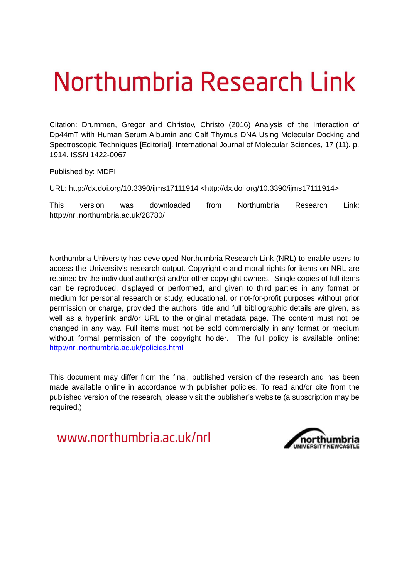# Northumbria Research Link

Citation: Drummen, Gregor and Christov, Christo (2016) Analysis of the Interaction of Dp44mT with Human Serum Albumin and Calf Thymus DNA Using Molecular Docking and Spectroscopic Techniques [Editorial]. International Journal of Molecular Sciences, 17 (11). p. 1914. ISSN 1422-0067

Published by: MDPI

URL: http://dx.doi.org/10.3390/ijms17111914 <http://dx.doi.org/10.3390/ijms17111914>

This version was downloaded from Northumbria Research Link: http://nrl.northumbria.ac.uk/28780/

Northumbria University has developed Northumbria Research Link (NRL) to enable users to access the University's research output. Copyright  $\circ$  and moral rights for items on NRL are retained by the individual author(s) and/or other copyright owners. Single copies of full items can be reproduced, displayed or performed, and given to third parties in any format or medium for personal research or study, educational, or not-for-profit purposes without prior permission or charge, provided the authors, title and full bibliographic details are given, as well as a hyperlink and/or URL to the original metadata page. The content must not be changed in any way. Full items must not be sold commercially in any format or medium without formal permission of the copyright holder. The full policy is available online: <http://nrl.northumbria.ac.uk/policies.html>

This document may differ from the final, published version of the research and has been made available online in accordance with publisher policies. To read and/or cite from the published version of the research, please visit the publisher's website (a subscription may be required.)

www.northumbria.ac.uk/nrl

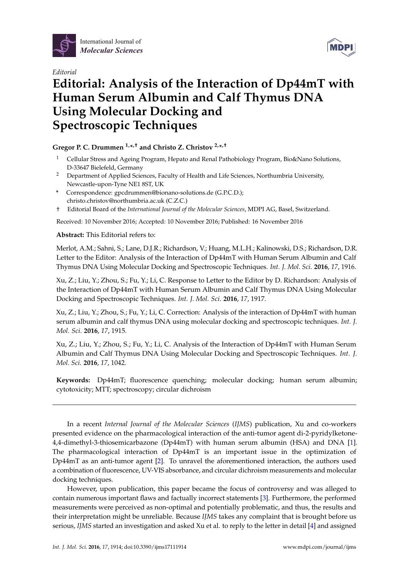

*Editorial*



# **Editorial: Analysis of the Interaction of Dp44mT with Human Serum Albumin and Calf Thymus DNA Using Molecular Docking and Spectroscopic Techniques**

## **Gregor P. C. Drummen 1,\* ,† and Christo Z. Christov 2,\* ,†**

- <sup>1</sup> Cellular Stress and Ageing Program, Hepato and Renal Pathobiology Program, Bio&Nano Solutions, D-33647 Bielefeld, Germany
- <sup>2</sup> Department of Applied Sciences, Faculty of Health and Life Sciences, Northumbria University, Newcastle-upon-Tyne NE1 8ST, UK
- **\*** Correspondence: gpcdrummen@bionano-solutions.de (G.P.C.D.); christo.christov@northumbria.ac.uk (C.Z.C.)
- † Editorial Board of the *International Journal of the Molecular Sciences*, MDPI AG, Basel, Switzerland.

Received: 10 November 2016; Accepted: 10 November 2016; Published: 16 November 2016

### **Abstract:** This Editorial refers to:

<span id="page-1-0"></span>Merlot, A.M.; Sahni, S.; Lane, D.J.R.; Richardson, V.; Huang, M.L.H.; Kalinowski, D.S.; Richardson, D.R. Letter to the Editor: Analysis of the Interaction of Dp44mT with Human Serum Albumin and Calf Thymus DNA Using Molecular Docking and Spectroscopic Techniques. *Int. J. Mol. Sci*. **2016**, *17*, 1916.

<span id="page-1-1"></span>Xu, Z.; Liu, Y.; Zhou, S.; Fu, Y.; Li, C. Response to Letter to the Editor by D. Richardson: Analysis of the Interaction of Dp44mT with Human Serum Albumin and Calf Thymus DNA Using Molecular Docking and Spectroscopic Techniques. *Int. J. Mol. Sci*. **2016**, *17*, 1917.

<span id="page-1-2"></span>Xu, Z.; Liu, Y.; Zhou, S.; Fu, Y.; Li, C. Correction: Analysis of the interaction of Dp44mT with human serum albumin and calf thymus DNA using molecular docking and spectroscopic techniques. *Int. J. Mol. Sci*. **2016**, *17*, 1915.

<span id="page-1-4"></span><span id="page-1-3"></span>Xu, Z.; Liu, Y.; Zhou, S.; Fu, Y.; Li, C. Analysis of the Interaction of Dp44mT with Human Serum Albumin and Calf Thymus DNA Using Molecular Docking and Spectroscopic Techniques. *Int. J. Mol. Sci*. **2016**, *17*, 1042.

**Keywords:** Dp44mT; fluorescence quenching; molecular docking; human serum albumin; cytotoxicity; MTT; spectroscopy; circular dichroism

In a recent *Internal Journal of the Molecular Sciences* (*IJMS*) publication, Xu and co-workers presented evidence on the pharmacological interaction of the anti-tumor agent di-2-pyridylketone-4,4-dimethyl-3-thiosemicarbazone (Dp44mT) with human serum albumin (HSA) and DNA [\[1\]](#page-1-0). The pharmacological interaction of Dp44mT is an important issue in the optimization of Dp44mT as an anti-tumor agent [\[2\]](#page-1-1). To unravel the aforementioned interaction, the authors used a combination of fluorescence, UV-VIS absorbance, and circular dichroism measurements and molecular docking techniques.

However, upon publication, this paper became the focus of controversy and was alleged to contain numerous important flaws and factually incorrect statements [\[3\]](#page-1-2). Furthermore, the performed measurements were perceived as non-optimal and potentially problematic, and thus, the results and their interpretation might be unreliable. Because *IJMS* takes any complaint that is brought before us serious, *IJMS* started an investigation and asked Xu et al. to reply to the letter in detail [\[4\]](#page-1-3) and assigned